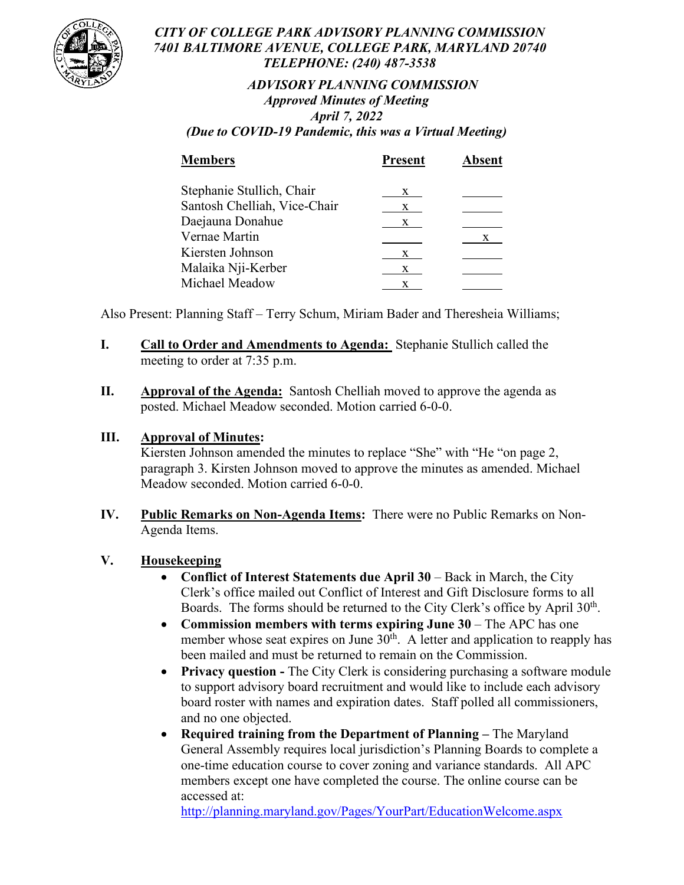

### *CITY OF COLLEGE PARK ADVISORY PLANNING COMMISSION 7401 BALTIMORE AVENUE, COLLEGE PARK, MARYLAND 20740 TELEPHONE: (240) 487-3538*

# *ADVISORY PLANNING COMMISSION Approved Minutes of Meeting April 7, 2022*

*(Due to COVID-19 Pandemic, this was a Virtual Meeting)*

| <b>Members</b>               | <b>Present</b> | <b>Absent</b> |
|------------------------------|----------------|---------------|
| Stephanie Stullich, Chair    | X              |               |
| Santosh Chelliah, Vice-Chair | X.             |               |
| Daejauna Donahue             | X              |               |
| Vernae Martin                |                | X.            |
| Kiersten Johnson             | X              |               |
| Malaika Nji-Kerber           | X              |               |
| Michael Meadow               | X              |               |

Also Present: Planning Staff – Terry Schum, Miriam Bader and Theresheia Williams;

- **I. Call to Order and Amendments to Agenda:** Stephanie Stullich called the meeting to order at 7:35 p.m.
- **II. Approval of the Agenda:** Santosh Chelliah moved to approve the agenda as posted. Michael Meadow seconded. Motion carried 6-0-0.

## **III. Approval of Minutes:**

Kiersten Johnson amended the minutes to replace "She" with "He "on page 2, paragraph 3. Kirsten Johnson moved to approve the minutes as amended. Michael Meadow seconded. Motion carried 6-0-0.

**IV. Public Remarks on Non-Agenda Items:** There were no Public Remarks on Non-Agenda Items.

## **V. Housekeeping**

- **Conflict of Interest Statements due April 30** Back in March, the City Clerk's office mailed out Conflict of Interest and Gift Disclosure forms to all Boards. The forms should be returned to the City Clerk's office by April 30<sup>th</sup>.
- **Commission members with terms expiring June 30** The APC has one member whose seat expires on June  $30<sup>th</sup>$ . A letter and application to reapply has been mailed and must be returned to remain on the Commission.
- **Privacy question -** The City Clerk is considering purchasing a software module to support advisory board recruitment and would like to include each advisory board roster with names and expiration dates. Staff polled all commissioners, and no one objected.
- **Required training from the Department of Planning –** The Maryland General Assembly requires local jurisdiction's Planning Boards to complete a one-time education course to cover zoning and variance standards. All APC members except one have completed the course. The online course can be accessed at:

<http://planning.maryland.gov/Pages/YourPart/EducationWelcome.aspx>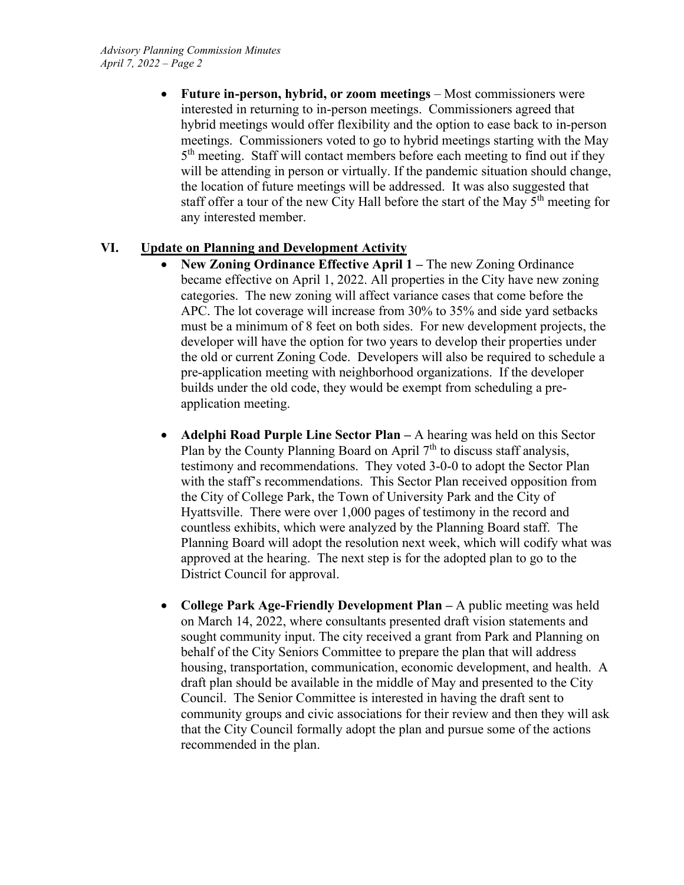• **Future in-person, hybrid, or zoom meetings** – Most commissioners were interested in returning to in-person meetings. Commissioners agreed that hybrid meetings would offer flexibility and the option to ease back to in-person meetings. Commissioners voted to go to hybrid meetings starting with the May 5<sup>th</sup> meeting. Staff will contact members before each meeting to find out if they will be attending in person or virtually. If the pandemic situation should change, the location of future meetings will be addressed. It was also suggested that staff offer a tour of the new City Hall before the start of the May 5<sup>th</sup> meeting for any interested member.

#### **VI. Update on Planning and Development Activity**

- **New Zoning Ordinance Effective April 1 –** The new Zoning Ordinance became effective on April 1, 2022. All properties in the City have new zoning categories. The new zoning will affect variance cases that come before the APC. The lot coverage will increase from 30% to 35% and side yard setbacks must be a minimum of 8 feet on both sides. For new development projects, the developer will have the option for two years to develop their properties under the old or current Zoning Code. Developers will also be required to schedule a pre-application meeting with neighborhood organizations. If the developer builds under the old code, they would be exempt from scheduling a preapplication meeting.
- **Adelphi Road Purple Line Sector Plan –** A hearing was held on this Sector Plan by the County Planning Board on April  $7<sup>th</sup>$  to discuss staff analysis, testimony and recommendations. They voted 3-0-0 to adopt the Sector Plan with the staff's recommendations. This Sector Plan received opposition from the City of College Park, the Town of University Park and the City of Hyattsville. There were over 1,000 pages of testimony in the record and countless exhibits, which were analyzed by the Planning Board staff. The Planning Board will adopt the resolution next week, which will codify what was approved at the hearing. The next step is for the adopted plan to go to the District Council for approval.
- **College Park Age-Friendly Development Plan –** A public meeting was held on March 14, 2022, where consultants presented draft vision statements and sought community input. The city received a grant from Park and Planning on behalf of the City Seniors Committee to prepare the plan that will address housing, transportation, communication, economic development, and health. A draft plan should be available in the middle of May and presented to the City Council. The Senior Committee is interested in having the draft sent to community groups and civic associations for their review and then they will ask that the City Council formally adopt the plan and pursue some of the actions recommended in the plan.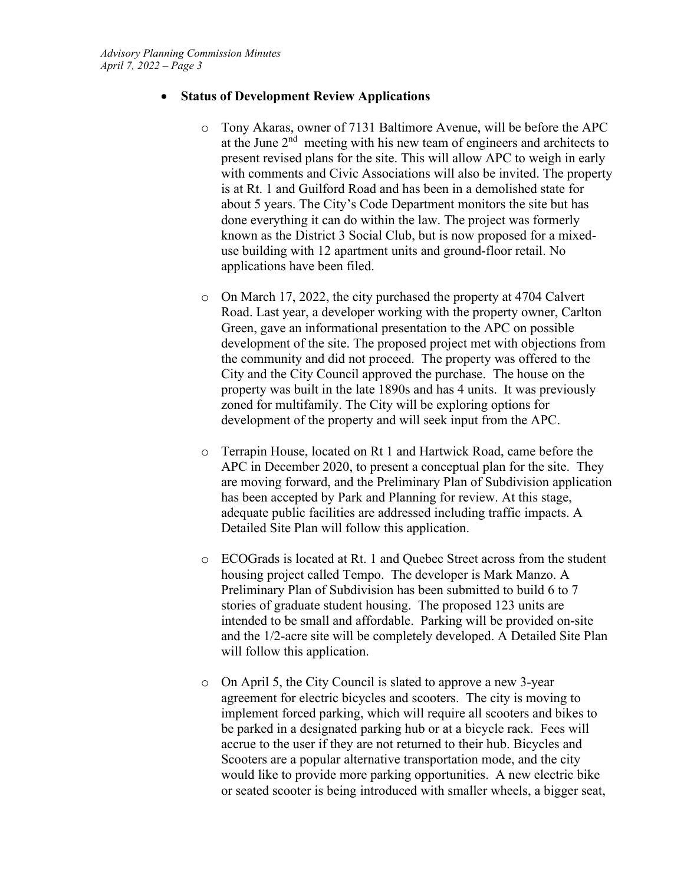#### • **Status of Development Review Applications**

- o Tony Akaras, owner of 7131 Baltimore Avenue, will be before the APC at the June  $2<sup>nd</sup>$  meeting with his new team of engineers and architects to present revised plans for the site. This will allow APC to weigh in early with comments and Civic Associations will also be invited. The property is at Rt. 1 and Guilford Road and has been in a demolished state for about 5 years. The City's Code Department monitors the site but has done everything it can do within the law. The project was formerly known as the District 3 Social Club, but is now proposed for a mixeduse building with 12 apartment units and ground-floor retail. No applications have been filed.
- o On March 17, 2022, the city purchased the property at 4704 Calvert Road. Last year, a developer working with the property owner, Carlton Green, gave an informational presentation to the APC on possible development of the site. The proposed project met with objections from the community and did not proceed. The property was offered to the City and the City Council approved the purchase. The house on the property was built in the late 1890s and has 4 units. It was previously zoned for multifamily. The City will be exploring options for development of the property and will seek input from the APC.
- o Terrapin House, located on Rt 1 and Hartwick Road, came before the APC in December 2020, to present a conceptual plan for the site. They are moving forward, and the Preliminary Plan of Subdivision application has been accepted by Park and Planning for review. At this stage, adequate public facilities are addressed including traffic impacts. A Detailed Site Plan will follow this application.
- o ECOGrads is located at Rt. 1 and Quebec Street across from the student housing project called Tempo. The developer is Mark Manzo. A Preliminary Plan of Subdivision has been submitted to build 6 to 7 stories of graduate student housing. The proposed 123 units are intended to be small and affordable. Parking will be provided on-site and the 1/2-acre site will be completely developed. A Detailed Site Plan will follow this application.
- o On April 5, the City Council is slated to approve a new 3-year agreement for electric bicycles and scooters. The city is moving to implement forced parking, which will require all scooters and bikes to be parked in a designated parking hub or at a bicycle rack. Fees will accrue to the user if they are not returned to their hub. Bicycles and Scooters are a popular alternative transportation mode, and the city would like to provide more parking opportunities. A new electric bike or seated scooter is being introduced with smaller wheels, a bigger seat,